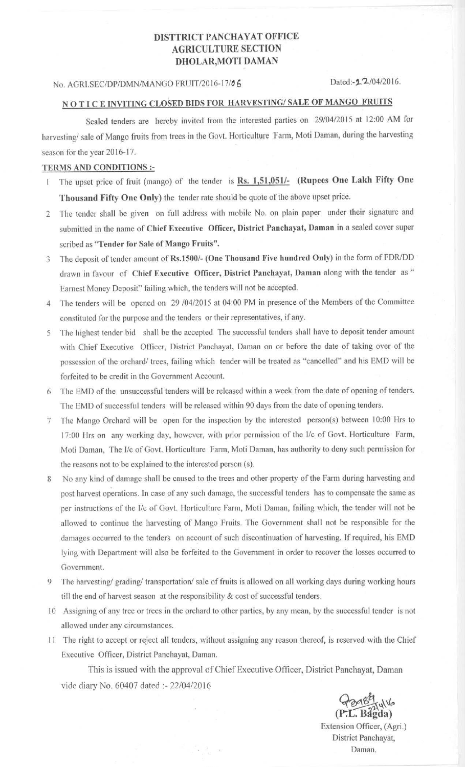## DISTTRICT PANCHAYAT OFFICE AGRICULTURE SECTION DHOLAR, MOTI DAMAN

## No. AGRI.SEC/DP/DMN/MANGO FRUIT/2016-17/06 Dated:-2-7/04/2016.

## N O T I C E INVITING CLOSED BIDS FOR HARVESTING/ SALE OF MANGO FRUITS

Sealed tenders are hereby invited from the interested parties on 29/04/2015 at 12:00 AM for harvesting/ sale of Mango fruits from trees in the Govt. Horticulture Farm, Moti Daman, during the harvesting season for the year 2016-17.

## TERMS AND CONDITIONS :-

- I The upset price of fruit (mango) of the tender is Rs. 1,51,051/- (**Rupees** One Lakh Fifty One Thousand Fifty One Only) the tender rate should be quote of the above upset price.
- 2 The tender shall be given on full address with mobile No. on plain paper under their signature and submitted in the name of Chief Executive Officer**, District Panchayat**, **Daman** in a sealed cover super scribed as "Tender for **Sale of Mango Fruits".**
- 3 The deposit of tender amount of Rs.1500/- (One Thousand **Five hundred** Only) in the form of FDR/DD drawn in favour of Chief **Executive** Officer, District Panchayat, **Daman** along with the tender as Earnest Money Deposit" failing which, the tenders will not be accepted.
- 4 The tenders will be opened on 29 /04/2015 at 04:00 PM in presence of the Members of the Committee constituted for the purpose and the tenders or their representatives, if any.
- 5 The highest tender bid shall be the accepted The successful tenders shall have to deposit tender amount with Chief Executive Officer, District Panchayat, Daman on or before the date of taking over of the possession of the orchard/ trees, failing which tender will be treated as "cancelled" and his EMD will be forfeited to be credit in the Government Account.
- 6 The EMD of the unsuccessful tenders will be released within a week from the date of opening of tenders. The EMD of successful tenders will be released within 90 days from the date of opening tenders.
- 7 The Mango Orchard will be open for the inspection by the interested person(s) between 10:00 Hrs to 17:00 Hrs on any working day, however, with prior permission of the I/c of Govt. Horticulture Farm, Moti Daman, The I/c of Govt. Horticulture Farm, Moti Daman, has authority to deny such permission for the reasons not to he explained to the interested person (s).
- 8 No any kind of damage shall be caused to the trees and other property of the Farm during harvesting and post harvest operations. In case of any such damage, the successful tenders has to compensate the same as per instructions of the 1/c of Govt. Horticulture Farm, Moti Daman, failing which, the tender will not be allowed to continue the harvesting of Mango Fruits. The Government shall not be responsible for the damages occurred to the tenders on account of such discontinuation of harvesting. If required, his EMD lying with Department will also be forfeited to the Government in order to recover the losses occurred to Government.
- 9 The harvesting/ grading/ transportation/ sale of fruits is allowed on all working days during working hours till the end of harvest season at the responsibility & cost of successful tenders.
- 10 Assigning of any tree or trees in the orchard to other parties, by any mean, by the successful tender is not allowed under any circumstances.
- 11 The right to accept or reject all tenders, without assigning any reason thereof, is reserved with the Chief Executive Officer, District Panchayat, Daman.

This is issued with the approval of Chief Executive Officer, District Panchayat, Daman vide diary No. 60407 dated :- 22/04/2016

**Bagga**<br>(P.L. Bagda)

**Extension** Officer, (Agri.) **District Panchayat, Daman.**